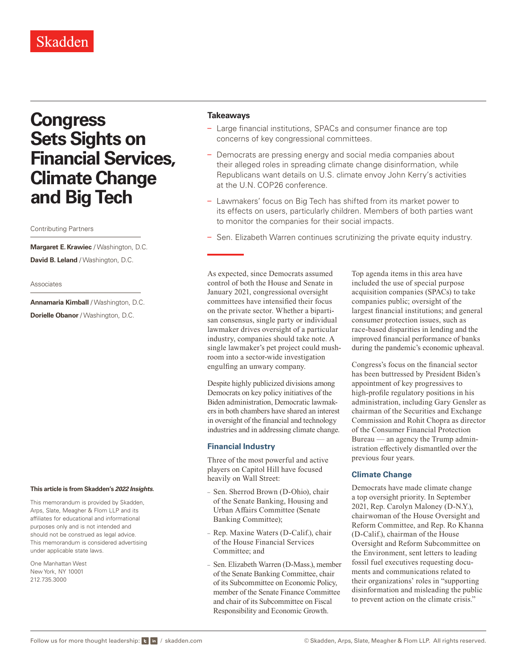# **Congress Sets Sights on Financial Services, Climate Change and Big Tech**

### Contributing Partners

**Margaret E. Krawiec** / Washington, D.C. **David B. Leland** / Washington, D.C.

#### Associates

**Annamaria Kimball** / Washington, D.C. **Dorielle Obanor** / Washington, D.C.

#### **This article is from Skadden's** *[2022 Insights](https://www.skadden.com/insights/publications/2022/01/2022-insights/2022-insights)***.**

This memorandum is provided by Skadden, Arps, Slate, Meagher & Flom LLP and its affiliates for educational and informational purposes only and is not intended and should not be construed as legal advice. This memorandum is considered advertising under applicable state laws.

One Manhattan West New York, NY 10001 212.735.3000

## **Takeaways**

- Large financial institutions, SPACs and consumer finance are top concerns of key congressional committees.
- Democrats are pressing energy and social media companies about their alleged roles in spreading climate change disinformation, while Republicans want details on U.S. climate envoy John Kerry's activities at the U.N. COP26 conference.
- Lawmakers' focus on Big Tech has shifted from its market power to its effects on users, particularly children. Members of both parties want to monitor the companies for their social impacts.
- Sen. Elizabeth Warren continues scrutinizing the private equity industry.

As expected, since Democrats assumed control of both the House and Senate in January 2021, congressional oversight committees have intensified their focus on the private sector. Whether a bipartisan consensus, single party or individual lawmaker drives oversight of a particular industry, companies should take note. A single lawmaker's pet project could mushroom into a sector-wide investigation engulfing an unwary company.

Despite highly publicized divisions among Democrats on key policy initiatives of the Biden administration, Democratic lawmakers in both chambers have shared an interest in oversight of the financial and technology industries and in addressing climate change.

## **Financial Industry**

Three of the most powerful and active players on Capitol Hill have focused heavily on Wall Street:

- Sen. Sherrod Brown (D-Ohio), chair of the Senate Banking, Housing and Urban Affairs Committee (Senate Banking Committee);
- Rep. Maxine Waters (D-Calif.), chair of the House Financial Services Committee; and
- Sen. Elizabeth Warren (D-Mass.), member of the Senate Banking Committee, chair of its Subcommittee on Economic Policy, member of the Senate Finance Committee and chair of its Subcommittee on Fiscal Responsibility and Economic Growth.

Top agenda items in this area have included the use of special purpose acquisition companies (SPACs) to take companies public; oversight of the largest financial institutions; and general consumer protection issues, such as race-based disparities in lending and the improved financial performance of banks during the pandemic's economic upheaval.

Congress's focus on the financial sector has been buttressed by President Biden's appointment of key progressives to high-profile regulatory positions in his administration, including Gary Gensler as chairman of the Securities and Exchange Commission and Rohit Chopra as director of the Consumer Financial Protection Bureau — an agency the Trump administration effectively dismantled over the previous four years.

# **Climate Change**

Democrats have made climate change a top oversight priority. In September 2021, Rep. Carolyn Maloney (D-N.Y.), chairwoman of the House Oversight and Reform Committee, and Rep. Ro Khanna (D-Calif.), chairman of the House Oversight and Reform Subcommittee on the Environment, sent letters to leading fossil fuel executives requesting documents and communications related to their organizations' roles in "supporting disinformation and misleading the public to prevent action on the climate crisis."